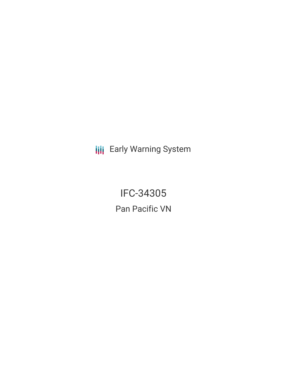**III** Early Warning System

IFC-34305 Pan Pacific VN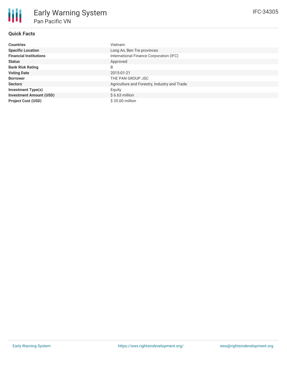# **Quick Facts**

| <b>Countries</b>               | Vietnam                                      |
|--------------------------------|----------------------------------------------|
| <b>Specific Location</b>       | Long An, Ben Tre provinces                   |
| <b>Financial Institutions</b>  | International Finance Corporation (IFC)      |
| <b>Status</b>                  | Approved                                     |
| <b>Bank Risk Rating</b>        | B                                            |
| <b>Voting Date</b>             | 2015-01-21                                   |
| <b>Borrower</b>                | THE PAN GROUP JSC                            |
| <b>Sectors</b>                 | Agriculture and Forestry, Industry and Trade |
| <b>Investment Type(s)</b>      | Equity                                       |
| <b>Investment Amount (USD)</b> | $$6.63$ million                              |
| <b>Project Cost (USD)</b>      | $$35.00$ million                             |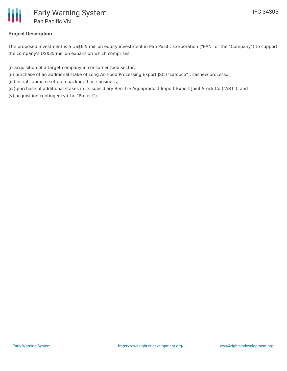

## **Project Description**

The proposed investment is a US\$6.5 million equity investment in Pan Pacific Corporation ("PAN" or the "Company") to support the company's US\$35 million expansion which comprises:

(i) acquisition of a target company in consumer food sector,

- (ii) purchase of an additional stake of Long An Food Processing Export JSC ("Lafooco"), cashew processor,
- (iii) initial capex to set up a packaged rice business,

(iv) purchase of additional stakes in its subsidiary Ben Tre Aquaproduct Import Export Joint Stock Co ("ABT"), and (v) acquisition contingency (the "Project").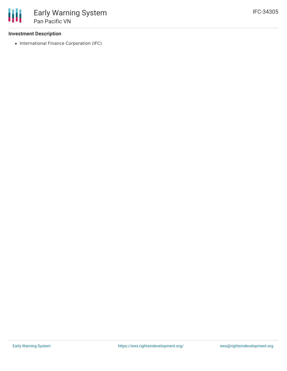### **Investment Description**

• International Finance Corporation (IFC)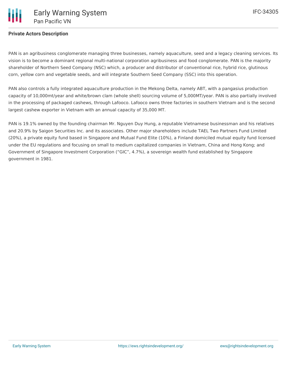PAN is an agribusiness conglomerate managing three businesses, namely aquaculture, seed and a legacy cleaning services. Its vision is to become a dominant regional multi-national corporation agribusiness and food conglomerate. PAN is the majority shareholder of Northern Seed Company (NSC) which, a producer and distributor of conventional rice, hybrid rice, glutinous corn, yellow corn and vegetable seeds, and will integrate Southern Seed Company (SSC) into this operation.

PAN also controls a fully integrated aquaculture production in the Mekong Delta, namely ABT, with a pangasius production capacity of 10,000mt/year and white/brown clam (whole shell) sourcing volume of 5,000MT/year. PAN is also partially involved in the processing of packaged cashews, through Lafooco. Lafooco owns three factories in southern Vietnam and is the second largest cashew exporter in Vietnam with an annual capacity of 35,000 MT.

PAN is 19.1% owned by the founding chairman Mr. Nguyen Duy Hung, a reputable Vietnamese businessman and his relatives and 20.9% by Saigon Securities Inc. and its associates. Other major shareholders include TAEL Two Partners Fund Limited (20%), a private equity fund based in Singapore and Mutual Fund Elite (10%), a Finland domiciled mutual equity fund licensed under the EU regulations and focusing on small to medium capitalized companies in Vietnam, China and Hong Kong; and Government of Singapore Investment Corporation ("GIC", 4.7%), a sovereign wealth fund established by Singapore government in 1981.